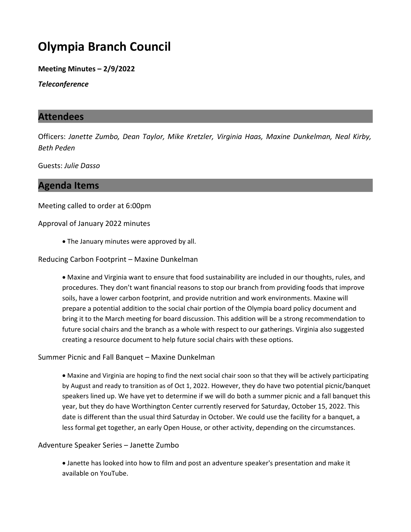# Olympia Branch Council

Meeting Minutes – 2/9/2022

Teleconference

## Attendees

Officers: Janette Zumbo, Dean Taylor, Mike Kretzler, Virginia Haas, Maxine Dunkelman, Neal Kirby, Beth Peden

Guests: Julie Dasso

# Agenda Items

Meeting called to order at 6:00pm

Approval of January 2022 minutes

· The January minutes were approved by all.

#### Reducing Carbon Footprint – Maxine Dunkelman

· Maxine and Virginia want to ensure that food sustainability are included in our thoughts, rules, and procedures. They don't want financial reasons to stop our branch from providing foods that improve soils, have a lower carbon footprint, and provide nutrition and work environments. Maxine will prepare a potential addition to the social chair portion of the Olympia board policy document and bring it to the March meeting for board discussion. This addition will be a strong recommendation to future social chairs and the branch as a whole with respect to our gatherings. Virginia also suggested creating a resource document to help future social chairs with these options.

#### Summer Picnic and Fall Banquet – Maxine Dunkelman

· Maxine and Virginia are hoping to find the next social chair soon so that they will be actively participating by August and ready to transition as of Oct 1, 2022. However, they do have two potential picnic/banquet speakers lined up. We have yet to determine if we will do both a summer picnic and a fall banquet this year, but they do have Worthington Center currently reserved for Saturday, October 15, 2022. This date is different than the usual third Saturday in October. We could use the facility for a banquet, a less formal get together, an early Open House, or other activity, depending on the circumstances.

#### Adventure Speaker Series – Janette Zumbo

· Janette has looked into how to film and post an adventure speaker's presentation and make it available on YouTube.